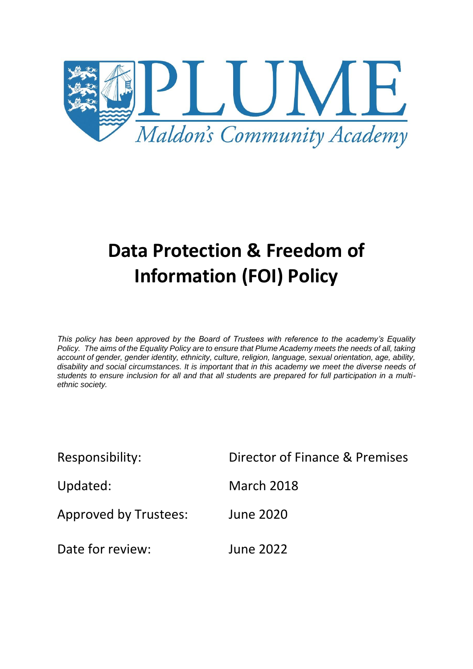

# **Data Protection & Freedom of Information (FOI) Policy**

*This policy has been approved by the Board of Trustees with reference to the academy's Equality Policy. The aims of the Equality Policy are to ensure that Plume Academy meets the needs of all, taking account of gender, gender identity, ethnicity, culture, religion, language, sexual orientation, age, ability, disability and social circumstances. It is important that in this academy we meet the diverse needs of students to ensure inclusion for all and that all students are prepared for full participation in a multiethnic society.*

| Responsibility:              | Director of Finance & Premises |
|------------------------------|--------------------------------|
| Updated:                     | <b>March 2018</b>              |
| <b>Approved by Trustees:</b> | <b>June 2020</b>               |
| Date for review:             | <b>June 2022</b>               |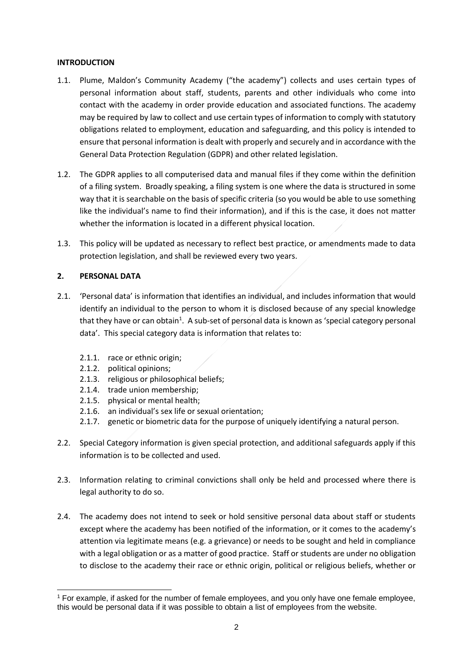#### **INTRODUCTION**

- 1.1. Plume, Maldon's Community Academy ("the academy") collects and uses certain types of personal information about staff, students, parents and other individuals who come into contact with the academy in order provide education and associated functions. The academy may be required by law to collect and use certain types of information to comply with statutory obligations related to employment, education and safeguarding, and this policy is intended to ensure that personal information is dealt with properly and securely and in accordance with the General Data Protection Regulation (GDPR) and other related legislation.
- 1.2. The GDPR applies to all computerised data and manual files if they come within the definition of a filing system. Broadly speaking, a filing system is one where the data is structured in some way that it is searchable on the basis of specific criteria (so you would be able to use something like the individual's name to find their information), and if this is the case, it does not matter whether the information is located in a different physical location.
- 1.3. This policy will be updated as necessary to reflect best practice, or amendments made to data protection legislation, and shall be reviewed every two years.

## **2. PERSONAL DATA**

- 2.1. 'Personal data' is information that identifies an individual, and includes information that would identify an individual to the person to whom it is disclosed because of any special knowledge that they have or can obtain<sup>1</sup>. A sub-set of personal data is known as 'special category personal data'. This special category data is information that relates to:
	- 2.1.1. race or ethnic origin;
	- 2.1.2. political opinions;
	- 2.1.3. religious or philosophical beliefs;
	- 2.1.4. trade union membership;
	- 2.1.5. physical or mental health;
	- 2.1.6. an individual's sex life or sexual orientation;
	- 2.1.7. genetic or biometric data for the purpose of uniquely identifying a natural person.
- 2.2. Special Category information is given special protection, and additional safeguards apply if this information is to be collected and used.
- 2.3. Information relating to criminal convictions shall only be held and processed where there is legal authority to do so.
- 2.4. The academy does not intend to seek or hold sensitive personal data about staff or students except where the academy has been notified of the information, or it comes to the academy's attention via legitimate means (e.g. a grievance) or needs to be sought and held in compliance with a legal obligation or as a matter of good practice. Staff or students are under no obligation to disclose to the academy their race or ethnic origin, political or religious beliefs, whether or

<sup>-</sup><sup>1</sup> For example, if asked for the number of female employees, and you only have one female employee, this would be personal data if it was possible to obtain a list of employees from the website.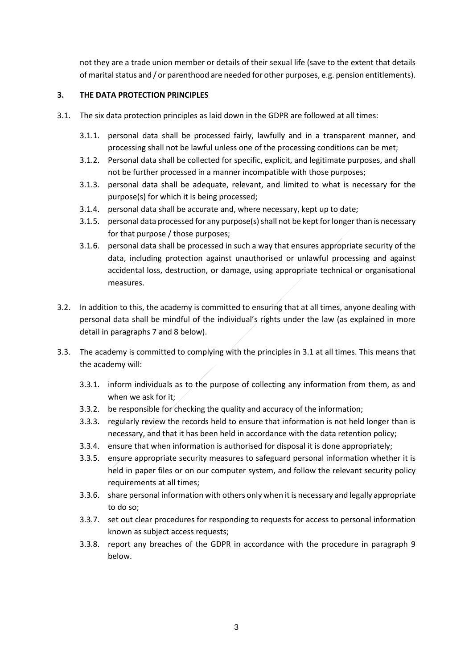not they are a trade union member or details of their sexual life (save to the extent that details of marital status and / or parenthood are needed for other purposes, e.g. pension entitlements).

## **3. THE DATA PROTECTION PRINCIPLES**

- 3.1. The six data protection principles as laid down in the GDPR are followed at all times:
	- 3.1.1. personal data shall be processed fairly, lawfully and in a transparent manner, and processing shall not be lawful unless one of the processing conditions can be met;
	- 3.1.2. Personal data shall be collected for specific, explicit, and legitimate purposes, and shall not be further processed in a manner incompatible with those purposes;
	- 3.1.3. personal data shall be adequate, relevant, and limited to what is necessary for the purpose(s) for which it is being processed;
	- 3.1.4. personal data shall be accurate and, where necessary, kept up to date;
	- 3.1.5. personal data processed for any purpose(s) shall not be kept for longer than is necessary for that purpose / those purposes;
	- 3.1.6. personal data shall be processed in such a way that ensures appropriate security of the data, including protection against unauthorised or unlawful processing and against accidental loss, destruction, or damage, using appropriate technical or organisational measures.
- 3.2. In addition to this, the academy is committed to ensuring that at all times, anyone dealing with personal data shall be mindful of the individual's rights under the law (as explained in more detail in paragraphs 7 and 8 below).
- 3.3. The academy is committed to complying with the principles in 3.1 at all times. This means that the academy will:
	- 3.3.1. inform individuals as to the purpose of collecting any information from them, as and when we ask for it;
	- 3.3.2. be responsible for checking the quality and accuracy of the information;
	- 3.3.3. regularly review the records held to ensure that information is not held longer than is necessary, and that it has been held in accordance with the data retention policy;
	- 3.3.4. ensure that when information is authorised for disposal it is done appropriately;
	- 3.3.5. ensure appropriate security measures to safeguard personal information whether it is held in paper files or on our computer system, and follow the relevant security policy requirements at all times;
	- 3.3.6. share personal information with others only when it is necessary and legally appropriate to do so;
	- 3.3.7. set out clear procedures for responding to requests for access to personal information known as subject access requests;
	- 3.3.8. report any breaches of the GDPR in accordance with the procedure in paragraph 9 below.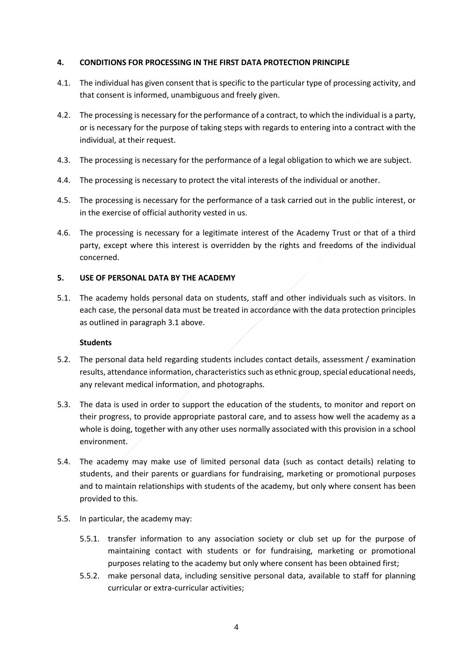#### **4. CONDITIONS FOR PROCESSING IN THE FIRST DATA PROTECTION PRINCIPLE**

- 4.1. The individual has given consent that is specific to the particular type of processing activity, and that consent is informed, unambiguous and freely given.
- 4.2. The processing is necessary for the performance of a contract, to which the individual is a party, or is necessary for the purpose of taking steps with regards to entering into a contract with the individual, at their request.
- 4.3. The processing is necessary for the performance of a legal obligation to which we are subject.
- 4.4. The processing is necessary to protect the vital interests of the individual or another.
- 4.5. The processing is necessary for the performance of a task carried out in the public interest, or in the exercise of official authority vested in us.
- 4.6. The processing is necessary for a legitimate interest of the Academy Trust or that of a third party, except where this interest is overridden by the rights and freedoms of the individual concerned.

#### **5. USE OF PERSONAL DATA BY THE ACADEMY**

5.1. The academy holds personal data on students, staff and other individuals such as visitors. In each case, the personal data must be treated in accordance with the data protection principles as outlined in paragraph 3.1 above.

#### **Students**

- 5.2. The personal data held regarding students includes contact details, assessment / examination results, attendance information, characteristics such as ethnic group, special educational needs, any relevant medical information, and photographs.
- 5.3. The data is used in order to support the education of the students, to monitor and report on their progress, to provide appropriate pastoral care, and to assess how well the academy as a whole is doing, together with any other uses normally associated with this provision in a school environment.
- 5.4. The academy may make use of limited personal data (such as contact details) relating to students, and their parents or guardians for fundraising, marketing or promotional purposes and to maintain relationships with students of the academy, but only where consent has been provided to this.
- 5.5. In particular, the academy may:
	- 5.5.1. transfer information to any association society or club set up for the purpose of maintaining contact with students or for fundraising, marketing or promotional purposes relating to the academy but only where consent has been obtained first;
	- 5.5.2. make personal data, including sensitive personal data, available to staff for planning curricular or extra-curricular activities;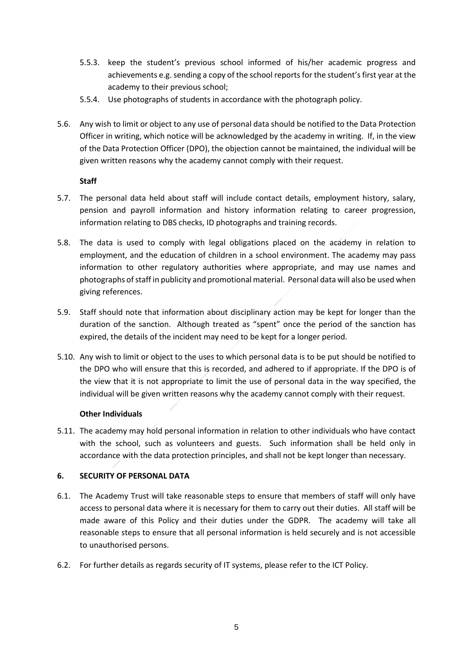- 5.5.3. keep the student's previous school informed of his/her academic progress and achievements e.g. sending a copy of the school reports for the student's first year at the academy to their previous school;
- 5.5.4. Use photographs of students in accordance with the photograph policy.
- 5.6. Any wish to limit or object to any use of personal data should be notified to the Data Protection Officer in writing, which notice will be acknowledged by the academy in writing. If, in the view of the Data Protection Officer (DPO), the objection cannot be maintained, the individual will be given written reasons why the academy cannot comply with their request.

## **Staff**

- 5.7. The personal data held about staff will include contact details, employment history, salary, pension and payroll information and history information relating to career progression, information relating to DBS checks, ID photographs and training records.
- 5.8. The data is used to comply with legal obligations placed on the academy in relation to employment, and the education of children in a school environment. The academy may pass information to other regulatory authorities where appropriate, and may use names and photographs of staff in publicity and promotional material. Personal data will also be used when giving references.
- 5.9. Staff should note that information about disciplinary action may be kept for longer than the duration of the sanction. Although treated as "spent" once the period of the sanction has expired, the details of the incident may need to be kept for a longer period.
- 5.10. Any wish to limit or object to the uses to which personal data is to be put should be notified to the DPO who will ensure that this is recorded, and adhered to if appropriate. If the DPO is of the view that it is not appropriate to limit the use of personal data in the way specified, the individual will be given written reasons why the academy cannot comply with their request.

## **Other Individuals**

5.11. The academy may hold personal information in relation to other individuals who have contact with the school, such as volunteers and guests. Such information shall be held only in accordance with the data protection principles, and shall not be kept longer than necessary.

# **6. SECURITY OF PERSONAL DATA**

- 6.1. The Academy Trust will take reasonable steps to ensure that members of staff will only have access to personal data where it is necessary for them to carry out their duties. All staff will be made aware of this Policy and their duties under the GDPR. The academy will take all reasonable steps to ensure that all personal information is held securely and is not accessible to unauthorised persons.
- 6.2. For further details as regards security of IT systems, please refer to the ICT Policy.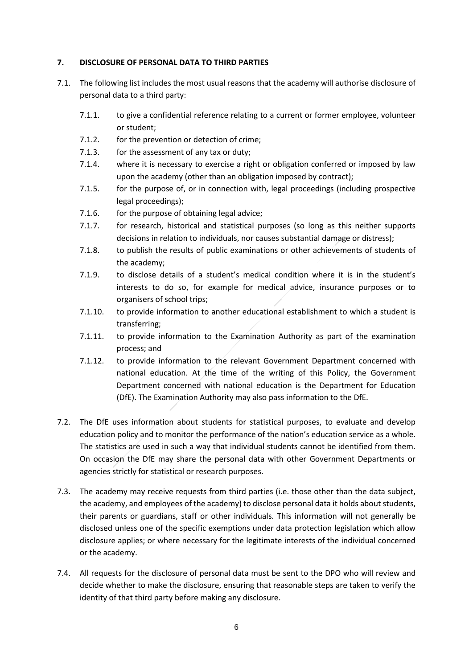#### **7. DISCLOSURE OF PERSONAL DATA TO THIRD PARTIES**

- 7.1. The following list includes the most usual reasons that the academy will authorise disclosure of personal data to a third party:
	- 7.1.1. to give a confidential reference relating to a current or former employee, volunteer or student;
	- 7.1.2. for the prevention or detection of crime;
	- 7.1.3. for the assessment of any tax or duty;
	- 7.1.4. where it is necessary to exercise a right or obligation conferred or imposed by law upon the academy (other than an obligation imposed by contract);
	- 7.1.5. for the purpose of, or in connection with, legal proceedings (including prospective legal proceedings);
	- 7.1.6. for the purpose of obtaining legal advice;
	- 7.1.7. for research, historical and statistical purposes (so long as this neither supports decisions in relation to individuals, nor causes substantial damage or distress);
	- 7.1.8. to publish the results of public examinations or other achievements of students of the academy;
	- 7.1.9. to disclose details of a student's medical condition where it is in the student's interests to do so, for example for medical advice, insurance purposes or to organisers of school trips;
	- 7.1.10. to provide information to another educational establishment to which a student is transferring;
	- 7.1.11. to provide information to the Examination Authority as part of the examination process; and
	- 7.1.12. to provide information to the relevant Government Department concerned with national education. At the time of the writing of this Policy, the Government Department concerned with national education is the Department for Education (DfE). The Examination Authority may also pass information to the DfE.
- 7.2. The DfE uses information about students for statistical purposes, to evaluate and develop education policy and to monitor the performance of the nation's education service as a whole. The statistics are used in such a way that individual students cannot be identified from them. On occasion the DfE may share the personal data with other Government Departments or agencies strictly for statistical or research purposes.
- 7.3. The academy may receive requests from third parties (i.e. those other than the data subject, the academy, and employees of the academy) to disclose personal data it holds about students, their parents or guardians, staff or other individuals. This information will not generally be disclosed unless one of the specific exemptions under data protection legislation which allow disclosure applies; or where necessary for the legitimate interests of the individual concerned or the academy.
- 7.4. All requests for the disclosure of personal data must be sent to the DPO who will review and decide whether to make the disclosure, ensuring that reasonable steps are taken to verify the identity of that third party before making any disclosure.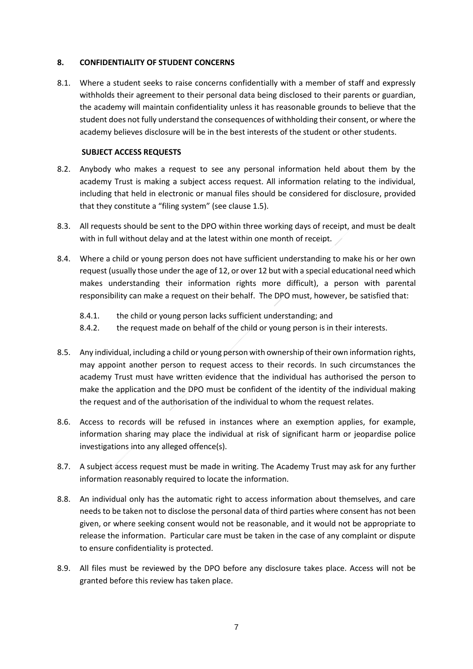#### **8. CONFIDENTIALITY OF STUDENT CONCERNS**

8.1. Where a student seeks to raise concerns confidentially with a member of staff and expressly withholds their agreement to their personal data being disclosed to their parents or guardian, the academy will maintain confidentiality unless it has reasonable grounds to believe that the student does not fully understand the consequences of withholding their consent, or where the academy believes disclosure will be in the best interests of the student or other students.

## **SUBJECT ACCESS REQUESTS**

- 8.2. Anybody who makes a request to see any personal information held about them by the academy Trust is making a subject access request. All information relating to the individual, including that held in electronic or manual files should be considered for disclosure, provided that they constitute a "filing system" (see clause 1.5).
- 8.3. All requests should be sent to the DPO within three working days of receipt, and must be dealt with in full without delay and at the latest within one month of receipt.
- 8.4. Where a child or young person does not have sufficient understanding to make his or her own request (usually those under the age of 12, or over 12 but with a special educational need which makes understanding their information rights more difficult), a person with parental responsibility can make a request on their behalf. The DPO must, however, be satisfied that:
	- 8.4.1. the child or young person lacks sufficient understanding; and
	- 8.4.2. the request made on behalf of the child or young person is in their interests.
- 8.5. Any individual, including a child or young person with ownership of their own information rights, may appoint another person to request access to their records. In such circumstances the academy Trust must have written evidence that the individual has authorised the person to make the application and the DPO must be confident of the identity of the individual making the request and of the authorisation of the individual to whom the request relates.
- 8.6. Access to records will be refused in instances where an exemption applies, for example, information sharing may place the individual at risk of significant harm or jeopardise police investigations into any alleged offence(s).
- 8.7. A subject access request must be made in writing. The Academy Trust may ask for any further information reasonably required to locate the information.
- 8.8. An individual only has the automatic right to access information about themselves, and care needs to be taken not to disclose the personal data of third parties where consent has not been given, or where seeking consent would not be reasonable, and it would not be appropriate to release the information. Particular care must be taken in the case of any complaint or dispute to ensure confidentiality is protected.
- 8.9. All files must be reviewed by the DPO before any disclosure takes place. Access will not be granted before this review has taken place.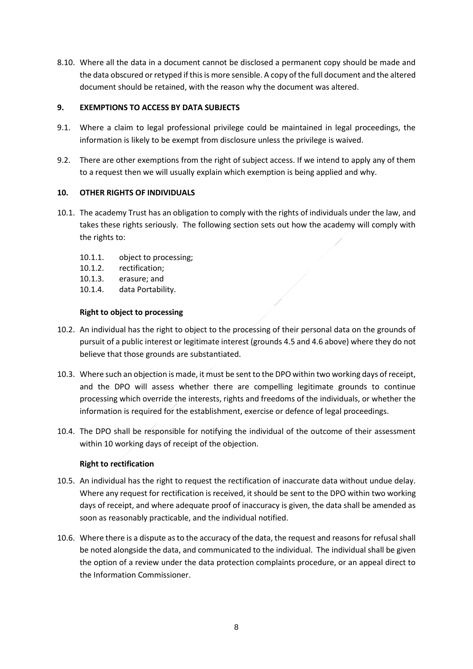8.10. Where all the data in a document cannot be disclosed a permanent copy should be made and the data obscured or retyped if this is more sensible. A copy of the full document and the altered document should be retained, with the reason why the document was altered.

## **9. EXEMPTIONS TO ACCESS BY DATA SUBJECTS**

- 9.1. Where a claim to legal professional privilege could be maintained in legal proceedings, the information is likely to be exempt from disclosure unless the privilege is waived.
- 9.2. There are other exemptions from the right of subject access. If we intend to apply any of them to a request then we will usually explain which exemption is being applied and why.

## **10. OTHER RIGHTS OF INDIVIDUALS**

- 10.1. The academy Trust has an obligation to comply with the rights of individuals under the law, and takes these rights seriously. The following section sets out how the academy will comply with the rights to:
	- 10.1.1. object to processing;
	- 10.1.2. rectification;
	- 10.1.3. erasure; and
	- 10.1.4. data Portability.

## **Right to object to processing**

- 10.2. An individual has the right to object to the processing of their personal data on the grounds of pursuit of a public interest or legitimate interest (grounds 4.5 and 4.6 above) where they do not believe that those grounds are substantiated.
- 10.3. Where such an objection is made, it must be sent to the DPO within two working days of receipt, and the DPO will assess whether there are compelling legitimate grounds to continue processing which override the interests, rights and freedoms of the individuals, or whether the information is required for the establishment, exercise or defence of legal proceedings.
- 10.4. The DPO shall be responsible for notifying the individual of the outcome of their assessment within 10 working days of receipt of the objection.

## **Right to rectification**

- 10.5. An individual has the right to request the rectification of inaccurate data without undue delay. Where any request for rectification is received, it should be sent to the DPO within two working days of receipt, and where adequate proof of inaccuracy is given, the data shall be amended as soon as reasonably practicable, and the individual notified.
- 10.6. Where there is a dispute as to the accuracy of the data, the request and reasons for refusal shall be noted alongside the data, and communicated to the individual. The individual shall be given the option of a review under the data protection complaints procedure, or an appeal direct to the Information Commissioner.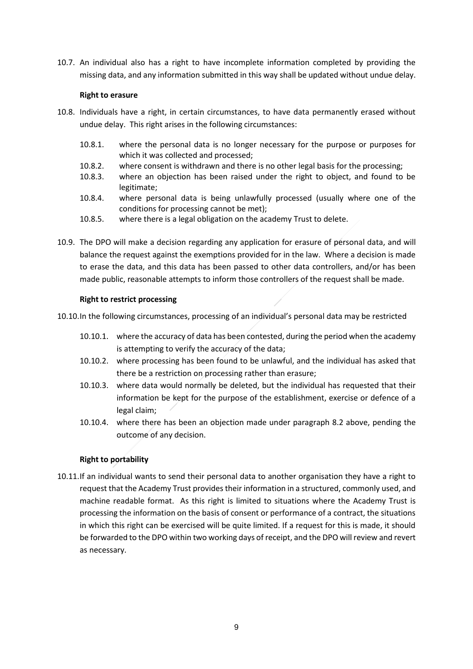10.7. An individual also has a right to have incomplete information completed by providing the missing data, and any information submitted in this way shall be updated without undue delay.

#### **Right to erasure**

- 10.8. Individuals have a right, in certain circumstances, to have data permanently erased without undue delay. This right arises in the following circumstances:
	- 10.8.1. where the personal data is no longer necessary for the purpose or purposes for which it was collected and processed;
	- 10.8.2. where consent is withdrawn and there is no other legal basis for the processing;
	- 10.8.3. where an objection has been raised under the right to object, and found to be legitimate;
	- 10.8.4. where personal data is being unlawfully processed (usually where one of the conditions for processing cannot be met);
	- 10.8.5. where there is a legal obligation on the academy Trust to delete.
- 10.9. The DPO will make a decision regarding any application for erasure of personal data, and will balance the request against the exemptions provided for in the law. Where a decision is made to erase the data, and this data has been passed to other data controllers, and/or has been made public, reasonable attempts to inform those controllers of the request shall be made.

#### **Right to restrict processing**

10.10.In the following circumstances, processing of an individual's personal data may be restricted

- 10.10.1. where the accuracy of data has been contested, during the period when the academy is attempting to verify the accuracy of the data;
- 10.10.2. where processing has been found to be unlawful, and the individual has asked that there be a restriction on processing rather than erasure;
- 10.10.3. where data would normally be deleted, but the individual has requested that their information be kept for the purpose of the establishment, exercise or defence of a legal claim;
- 10.10.4. where there has been an objection made under paragraph 8.2 above, pending the outcome of any decision.

#### **Right to portability**

10.11.If an individual wants to send their personal data to another organisation they have a right to request that the Academy Trust provides their information in a structured, commonly used, and machine readable format. As this right is limited to situations where the Academy Trust is processing the information on the basis of consent or performance of a contract, the situations in which this right can be exercised will be quite limited. If a request for this is made, it should be forwarded to the DPO within two working days of receipt, and the DPO will review and revert as necessary.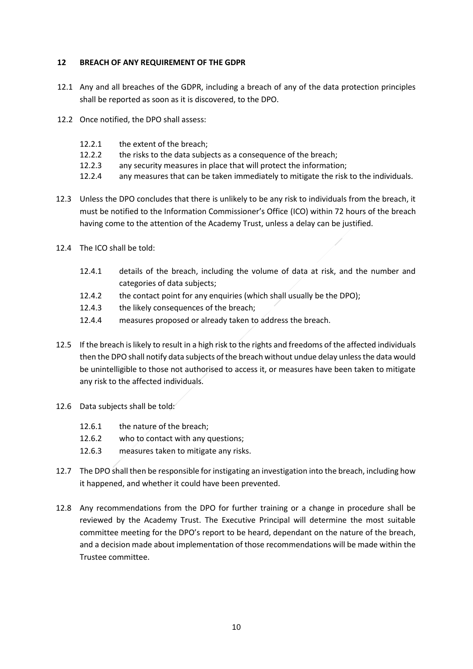#### **12 BREACH OF ANY REQUIREMENT OF THE GDPR**

- 12.1 Any and all breaches of the GDPR, including a breach of any of the data protection principles shall be reported as soon as it is discovered, to the DPO.
- 12.2 Once notified, the DPO shall assess:
	- 12.2.1 the extent of the breach;
	- 12.2.2 the risks to the data subjects as a consequence of the breach;
	- 12.2.3 any security measures in place that will protect the information;
	- 12.2.4 any measures that can be taken immediately to mitigate the risk to the individuals.
- 12.3 Unless the DPO concludes that there is unlikely to be any risk to individuals from the breach, it must be notified to the Information Commissioner's Office (ICO) within 72 hours of the breach having come to the attention of the Academy Trust, unless a delay can be justified.
- 12.4 The ICO shall be told:
	- 12.4.1 details of the breach, including the volume of data at risk, and the number and categories of data subjects;
	- 12.4.2 the contact point for any enquiries (which shall usually be the DPO);
	- 12.4.3 the likely consequences of the breach;
	- 12.4.4 measures proposed or already taken to address the breach.
- 12.5 If the breach is likely to result in a high risk to the rights and freedoms of the affected individuals then the DPO shall notify data subjects of the breach without undue delay unless the data would be unintelligible to those not authorised to access it, or measures have been taken to mitigate any risk to the affected individuals.
- 12.6 Data subjects shall be told:
	- 12.6.1 the nature of the breach;
	- 12.6.2 who to contact with any questions;
	- 12.6.3 measures taken to mitigate any risks.
- 12.7 The DPO shall then be responsible for instigating an investigation into the breach, including how it happened, and whether it could have been prevented.
- 12.8 Any recommendations from the DPO for further training or a change in procedure shall be reviewed by the Academy Trust. The Executive Principal will determine the most suitable committee meeting for the DPO's report to be heard, dependant on the nature of the breach, and a decision made about implementation of those recommendations will be made within the Trustee committee.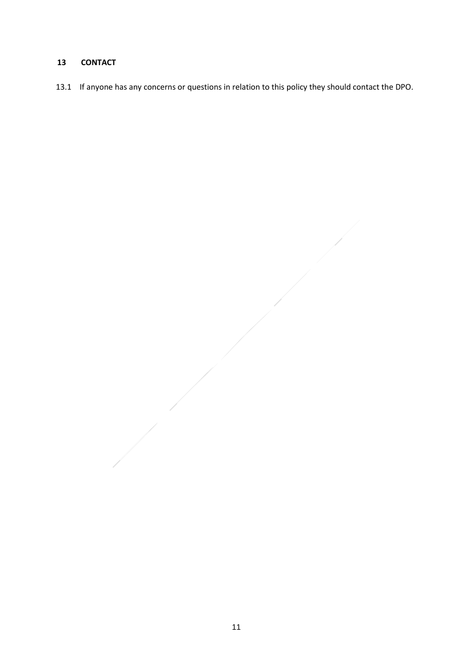# **CONTACT**

13.1 If anyone has any concerns or questions in relation to this policy they should contact the DPO.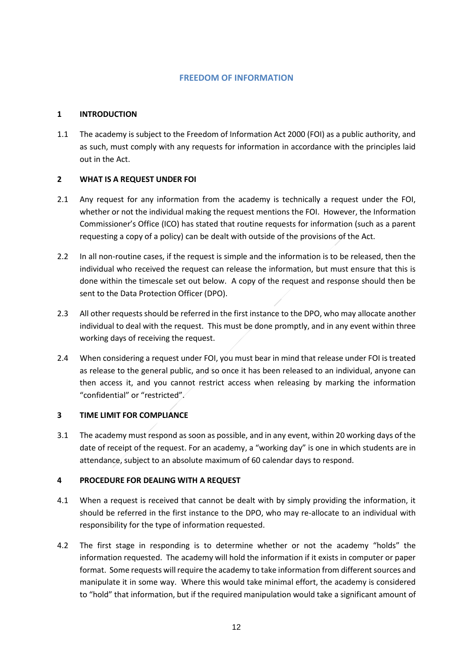## **FREEDOM OF INFORMATION**

#### **1 INTRODUCTION**

1.1 The academy is subject to the Freedom of Information Act 2000 (FOI) as a public authority, and as such, must comply with any requests for information in accordance with the principles laid out in the Act.

#### **2 WHAT IS A REQUEST UNDER FOI**

- 2.1 Any request for any information from the academy is technically a request under the FOI, whether or not the individual making the request mentions the FOI. However, the Information Commissioner's Office (ICO) has stated that routine requests for information (such as a parent requesting a copy of a policy) can be dealt with outside of the provisions of the Act.
- 2.2 In all non-routine cases, if the request is simple and the information is to be released, then the individual who received the request can release the information, but must ensure that this is done within the timescale set out below. A copy of the request and response should then be sent to the Data Protection Officer (DPO).
- 2.3 All other requests should be referred in the first instance to the DPO, who may allocate another individual to deal with the request. This must be done promptly, and in any event within three working days of receiving the request.
- 2.4 When considering a request under FOI, you must bear in mind that release under FOI is treated as release to the general public, and so once it has been released to an individual, anyone can then access it, and you cannot restrict access when releasing by marking the information "confidential" or "restricted".

## **3 TIME LIMIT FOR COMPLIANCE**

3.1 The academy must respond as soon as possible, and in any event, within 20 working days of the date of receipt of the request. For an academy, a "working day" is one in which students are in attendance, subject to an absolute maximum of 60 calendar days to respond.

#### **4 PROCEDURE FOR DEALING WITH A REQUEST**

- 4.1 When a request is received that cannot be dealt with by simply providing the information, it should be referred in the first instance to the DPO, who may re-allocate to an individual with responsibility for the type of information requested.
- 4.2 The first stage in responding is to determine whether or not the academy "holds" the information requested. The academy will hold the information if it exists in computer or paper format. Some requests will require the academy to take information from different sources and manipulate it in some way. Where this would take minimal effort, the academy is considered to "hold" that information, but if the required manipulation would take a significant amount of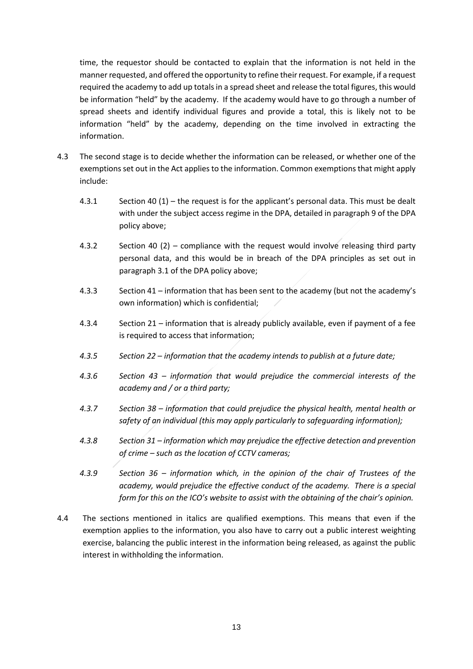time, the requestor should be contacted to explain that the information is not held in the manner requested, and offered the opportunity to refine their request. For example, if a request required the academy to add up totals in a spread sheet and release the total figures, this would be information "held" by the academy. If the academy would have to go through a number of spread sheets and identify individual figures and provide a total, this is likely not to be information "held" by the academy, depending on the time involved in extracting the information.

- 4.3 The second stage is to decide whether the information can be released, or whether one of the exemptions set out in the Act applies to the information. Common exemptions that might apply include:
	- 4.3.1 Section 40 (1) the request is for the applicant's personal data. This must be dealt with under the subject access regime in the DPA, detailed in paragraph 9 of the DPA policy above;
	- 4.3.2 Section 40 (2) compliance with the request would involve releasing third party personal data, and this would be in breach of the DPA principles as set out in paragraph 3.1 of the DPA policy above;
	- 4.3.3 Section 41 information that has been sent to the academy (but not the academy's own information) which is confidential;
	- 4.3.4 Section 21 information that is already publicly available, even if payment of a fee is required to access that information;
	- *4.3.5 Section 22 – information that the academy intends to publish at a future date;*
	- *4.3.6 Section 43 – information that would prejudice the commercial interests of the academy and / or a third party;*
	- *4.3.7 Section 38 – information that could prejudice the physical health, mental health or safety of an individual (this may apply particularly to safeguarding information);*
	- *4.3.8 Section 31 – information which may prejudice the effective detection and prevention of crime – such as the location of CCTV cameras;*
	- *4.3.9 Section 36 – information which, in the opinion of the chair of Trustees of the academy, would prejudice the effective conduct of the academy. There is a special form for this on the ICO's website to assist with the obtaining of the chair's opinion.*
- 4.4 The sections mentioned in italics are qualified exemptions. This means that even if the exemption applies to the information, you also have to carry out a public interest weighting exercise, balancing the public interest in the information being released, as against the public interest in withholding the information.